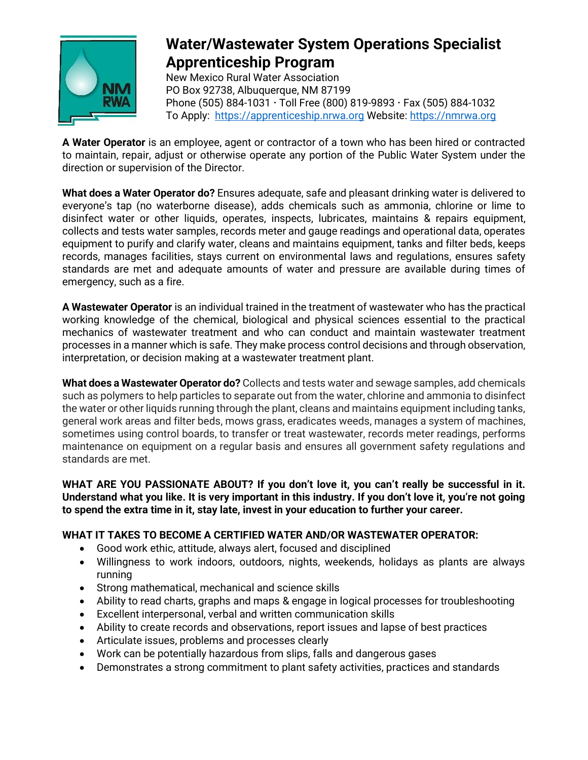

## **Water/Wastewater System Operations Specialist Apprenticeship Program**

New Mexico Rural Water Association PO Box 92738, Albuquerque, NM 87199 Phone (505) 884-1031  $\cdot$  Toll Free (800) 819-9893  $\cdot$  Fax (505) 884-1032 To Apply: [https://apprenticeship.nrwa.org](https://apprenticeship.nrwa.org/) Website: [https://nmrwa.org](https://nmrwa.org/)

**A Water Operator** is an employee, agent or contractor of a town who has been hired or contracted to maintain, repair, adjust or otherwise operate any portion of the Public Water System under the direction or supervision of the Director.

**What does a Water Operator do?** Ensures adequate, safe and pleasant drinking water is delivered to everyone's tap (no waterborne disease), adds chemicals such as ammonia, chlorine or lime to disinfect water or other liquids, operates, inspects, lubricates, maintains & repairs equipment, collects and tests water samples, records meter and gauge readings and operational data, operates equipment to purify and clarify water, cleans and maintains equipment, tanks and filter beds, keeps records, manages facilities, stays current on environmental laws and regulations, ensures safety standards are met and adequate amounts of water and pressure are available during times of emergency, such as a fire.

**A Wastewater Operator** is an individual trained in the treatment of wastewater who has the practical working knowledge of the chemical, biological and physical sciences essential to the practical mechanics of wastewater treatment and who can conduct and maintain wastewater treatment processes in a manner which is safe. They make process control decisions and through observation, interpretation, or decision making at a wastewater treatment plant.

**What does a Wastewater Operator do?** Collects and tests water and sewage samples, add chemicals such as polymers to help particles to separate out from the water, chlorine and ammonia to disinfect the water or other liquids running through the plant, cleans and maintains equipment including tanks, general work areas and filter beds, mows grass, eradicates weeds, manages a system of machines, sometimes using control boards, to transfer or treat wastewater, records meter readings, performs maintenance on equipment on a regular basis and ensures all government safety regulations and standards are met.

**WHAT ARE YOU PASSIONATE ABOUT? If you don't love it, you can't really be successful in it. Understand what you like. It is very important in this industry. If you don't love it, you're not going to spend the extra time in it, stay late, invest in your education to further your career.**

## **WHAT IT TAKES TO BECOME A CERTIFIED WATER AND/OR WASTEWATER OPERATOR:**

- Good work ethic, attitude, always alert, focused and disciplined
- Willingness to work indoors, outdoors, nights, weekends, holidays as plants are always running
- Strong mathematical, mechanical and science skills
- Ability to read charts, graphs and maps & engage in logical processes for troubleshooting
- Excellent interpersonal, verbal and written communication skills
- Ability to create records and observations, report issues and lapse of best practices
- Articulate issues, problems and processes clearly
- Work can be potentially hazardous from slips, falls and dangerous gases
- Demonstrates a strong commitment to plant safety activities, practices and standards